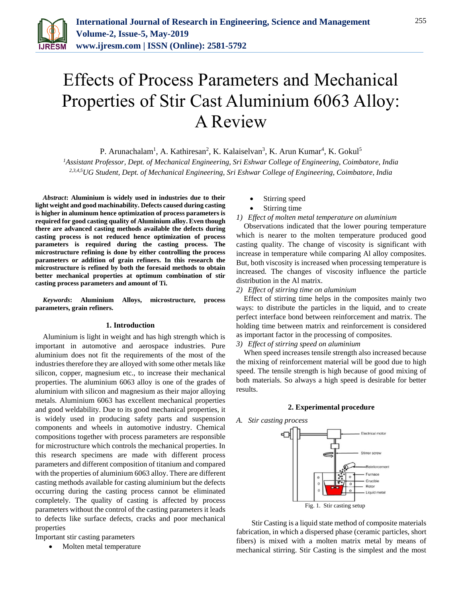

# Effects of Process Parameters and Mechanical Properties of Stir Cast Aluminium 6063 Alloy: A Review

P. Arunachalam<sup>1</sup>, A. Kathiresan<sup>2</sup>, K. Kalaiselvan<sup>3</sup>, K. Arun Kumar<sup>4</sup>, K. Gokul<sup>5</sup>

*<sup>1</sup>Assistant Professor, Dept. of Mechanical Engineering, Sri Eshwar College of Engineering, Coimbatore, India 2,3,4,5UG Student, Dept. of Mechanical Engineering, Sri Eshwar College of Engineering, Coimbatore, India*

*Abstract***: Aluminium is widely used in industries due to their light weight and good machinability. Defects caused during casting is higher in aluminum hence optimization of process parameters is required for good casting quality of Aluminium alloy. Even though there are advanced casting methods available the defects during casting process is not reduced hence optimization of process parameters is required during the casting process. The microstructure refining is done by either controlling the process parameters or addition of grain refiners. In this research the microstructure is refined by both the foresaid methods to obtain better mechanical properties at optimum combination of stir casting process parameters and amount of Ti.**

*Keywords***: Aluminium Alloys, microstructure, process parameters, grain refiners.**

#### **1. Introduction**

Aluminium is light in weight and has high strength which is important in automotive and aerospace industries. Pure aluminium does not fit the requirements of the most of the industries therefore they are alloyed with some other metals like silicon, copper, magnesium etc., to increase their mechanical properties. The aluminium 6063 alloy is one of the grades of aluminium with silicon and magnesium as their major alloying metals. Aluminium 6063 has excellent mechanical properties and good weldability. Due to its good mechanical properties, it is widely used in producing safety parts and suspension components and wheels in automotive industry. Chemical compositions together with process parameters are responsible for microstructure which controls the mechanical properties. In this research specimens are made with different process parameters and different composition of titanium and compared with the properties of aluminium 6063 alloy. There are different casting methods available for casting aluminium but the defects occurring during the casting process cannot be eliminated completely. The quality of casting is affected by process parameters without the control of the casting parameters it leads to defects like surface defects, cracks and poor mechanical properties

Important stir casting parameters

Molten metal temperature

- Stirring speed
- Stirring time
- *1) Effect of molten metal temperature on aluminium*

Observations indicated that the lower pouring temperature which is nearer to the molten temperature produced good casting quality. The change of viscosity is significant with increase in temperature while comparing Al alloy composites. But, both viscosity is increased when processing temperature is increased. The changes of viscosity influence the particle distribution in the Al matrix.

*2) Effect of stirring time on aluminium*

Effect of stirring time helps in the composites mainly two ways: to distribute the particles in the liquid, and to create perfect interface bond between reinforcement and matrix. The holding time between matrix and reinforcement is considered as important factor in the processing of composites.

*3) Effect of stirring speed on aluminium*

When speed increases tensile strength also increased because the mixing of reinforcement material will be good due to high speed. The tensile strength is high because of good mixing of both materials. So always a high speed is desirable for better results.

#### **2. Experimental procedure**

*A. Stir casting process*



Stir Casting is a liquid state method of composite materials fabrication, in which a dispersed phase (ceramic particles, short fibers) is mixed with a molten matrix metal by means of mechanical stirring. Stir Casting is the simplest and the most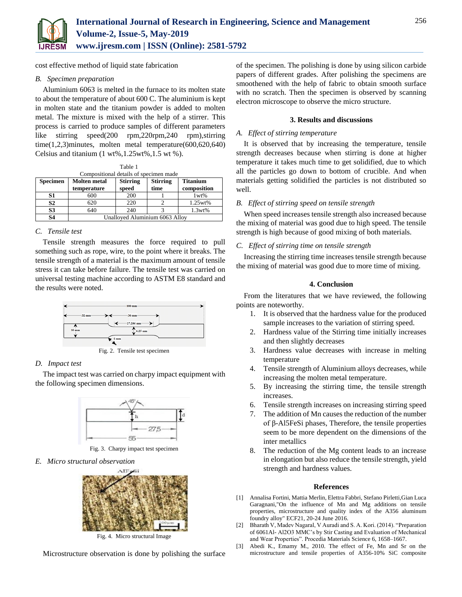

cost effective method of liquid state fabrication

#### *B. Specimen preparation*

Aluminium 6063 is melted in the furnace to its molten state to about the temperature of about 600 C. The aluminium is kept in molten state and the titanium powder is added to molten metal. The mixture is mixed with the help of a stirrer. This process is carried to produce samples of different parameters like stirring speed(200 rpm,220rpm,240 rpm),stirring time(1,2,3)minutes, molten metal temperature(600,620,640) Celsius and titanium  $(1 wt\%, 1.25 wt\%, 1.5 wt\%)$ .

| Table 1                                |                                    |                          |                         |                                |
|----------------------------------------|------------------------------------|--------------------------|-------------------------|--------------------------------|
| Compositional details of specimen made |                                    |                          |                         |                                |
| <b>Specimen</b>                        | <b>Molten</b> metal<br>temperature | <b>Stirring</b><br>speed | <b>Stirring</b><br>time | <b>Titanium</b><br>composition |
| S1                                     | 600                                | 200                      |                         | 1wt%                           |
| S <sub>2</sub>                         | 620                                | 220                      |                         | 1.25wt%                        |
| S <sub>3</sub>                         | 640                                | 240                      |                         | 1.3wt%                         |
| S4                                     | Unalloyed Aluminium 6063 Alloy     |                          |                         |                                |

## *C. Tensile test*

Tensile strength measures the force required to pull something such as rope, wire, to the point where it breaks. The tensile strength of a material is the maximum amount of tensile stress it can take before failure. The tensile test was carried on universal testing machine according to ASTM E8 standard and the results were noted.



Fig. 2. Tensile test specimen

#### *D. Impact test*

The impact test was carried on charpy impact equipment with the following specimen dimensions.



Fig. 3. Charpy impact test specimen

*E. Micro structural observation* 



Fig. 4. Micro structural Image

Microstructure observation is done by polishing the surface

of the specimen. The polishing is done by using silicon carbide papers of different grades. After polishing the specimens are smoothened with the help of fabric to obtain smooth surface with no scratch. Then the specimen is observed by scanning electron microscope to observe the micro structure.

#### **3. Results and discussions**

### *A. Effect of stirring temperature*

It is observed that by increasing the temperature, tensile strength decreases because when stirring is done at higher temperature it takes much time to get solidified, due to which all the particles go down to bottom of crucible. And when materials getting solidified the particles is not distributed so well.

### *B. Effect of stirring speed on tensile strength*

When speed increases tensile strength also increased because the mixing of material was good due to high speed. The tensile strength is high because of good mixing of both materials.

### *C. Effect of stirring time on tensile strength*

Increasing the stirring time increases tensile strength because the mixing of material was good due to more time of mixing.

### **4. Conclusion**

From the literatures that we have reviewed, the following points are noteworthy.

- 1. It is observed that the hardness value for the produced sample increases to the variation of stirring speed.
- 2. Hardness value of the Stirring time initially increases and then slightly decreases
- 3. Hardness value decreases with increase in melting temperature
- 4. Tensile strength of Aluminium alloys decreases, while increasing the molten metal temperature.
- 5. By increasing the stirring time, the tensile strength increases.
- 6. Tensile strength increases on increasing stirring speed
- 7. The addition of Mn causes the reduction of the number of β-Al5FeSi phases, Therefore, the tensile properties seem to be more dependent on the dimensions of the inter metallics
- 8. The reduction of the Mg content leads to an increase in elongation but also reduce the tensile strength, yield strength and hardness values.

#### **References**

- [1] Annalisa Fortini, Mattia Merlin, Elettra Fabbri, Stefano Pirletti,Gian Luca Garagnani,"On the influence of Mn and Mg additions on tensile properties, microstructure and quality index of the A356 aluminum foundry alloy" ECF21, 20-24 June 2016.
- [2] Bharath V, Madev Nagaral, V Auradi and S. A. Kori. (2014). "Preparation of 6061Al- Al2O3 MMC's by Stir Casting and Evaluation of Mechanical and Wear Properties". Procedia Materials Science 6, 1658–1667.
- [3] Abedi K., Emamy M., 2010. The effect of Fe, Mn and Sr on the microstructure and tensile properties of A356-10% SiC composite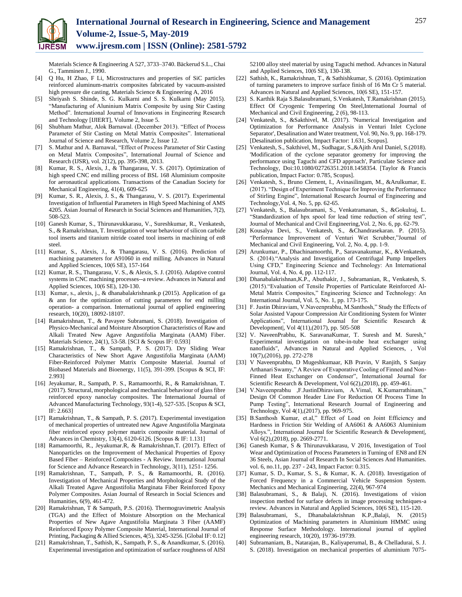

Materials Science & Engineering A 527, 3733–3740. Bäckerud S.L., Chai G., Tamminen J., 1990.

- [4] Q Hu, H Zhao, F Li, Microstructures and properties of SiC particles reinforced aluminum-matrix composites fabricated by vacuum-assisted high pressure die casting, Materials Science & Engineering A, 2016
- [5] Shriyash S. Shinde, S. G. Kulkarni and S. S. Kulkarni (May 2015). "Manufacturing of Aluninium Matrix Composite by using Stir Casting Method". International Journal of Innovations in Engineering Research and Technology [IJIERT], Volume 2, Issue 5.
- [6] Shubham Mathur, Alok Barnawal. (December 2013). "Effect of Process Parameter of Stir Casting on Metal Matrix Composites". International Journal of Science and Research, Volume 2, Issue 12.
- [7] S. Mathur and A. Barnawal, "Effect of Process Parameter of Stir Casting on Metal Matrix Composites", International Journal of Science and Research (IJSR), vol. 2(12), pp. 395-398, 2013.
- [8] Kumar, R. S., Alexis, J., & Thangarasu, V. S. (2017). Optimization of high speed CNC end milling process of BSL 168 Aluminium composite for aeronautical applications. Transactions of the Canadian Society for Mechanical Engineering, 41(4), 609-625
- [9] Kumar, S. R., Alexis, J. S., & Thangarasu, V. S. (2017). Experimental Investigation of Influential Parameters in High Speed Machining of AMS 4205. Asian Journal of Research in Social Sciences and Humanities, 7(2), 508-523.
- [10] Ganesh Kumar, S., Thirunavukkarasu, V., Sureshkumar, R., Venkatesh, S., & Ramakrishnan, T. Investigation of wear behaviour of silicon carbide tool inserts and titanium nitride coated tool inserts in machining of en8 steel.
- [11] Kumar, S., Alexis, J., & Thangarasu, V. S. (2016). Prediction of machining parameters for A91060 in end milling. Advances in Natural and Applied Sciences, 10(6 SE), 157-164
- [12] Kumar, R. S., Thangarasu, V. S., & Alexis, S. J. (2016). Adaptive control systems in CNC machining processes--a review. Advances in Natural and Applied Sciences, 10(6 SE), 120-130.
- [13] Kumar, s., alexis, j., & dhanabalakrishnank.p (2015). Application of ga & ann for the optimization of cutting parameters for end milling operation- a comparison. International journal of applied engineering research, 10(20), 18092-18107.
- [14] Ramakrishnan, T., & Pavayee Subramani, S. (2018). Investigation of Physico-Mechanical and Moisture Absorption Characteristics of Raw and Alkali Treated New Agave Angustifolia Marginata (AAM) Fiber. Materials Science, 24(1), 53-58. [SCI & Scopus IF: 0.593]
- [15] Ramakrishnan, T., & Sampath, P. S. (2017). Dry Sliding Wear Characteristics of New Short Agave Angustifolia Marginata (AAM) Fiber-Reinforced Polymer Matrix Composite Material. Journal of Biobased Materials and Bioenergy, 11(5), 391-399. [Scopus & SCI, IF: 2.993]
- [16] Jeyakumar, R., Sampath, P. S., Ramamoorthi, R., & Ramakrishnan, T. (2017). Structural, morphological and mechanical behaviour of glass fibre reinforced epoxy nanoclay composites. The International Journal of Advanced Manufacturing Technology, 93(1-4), 527-535. [Scopus & SCI, IF: 2.663]
- [17] Ramakrishnan, T., & Sampath, P. S. (2017). Experimental investigation of mechanical properties of untreated new Agave Angustifolia Marginata fiber reinforced epoxy polymer matrix composite material. Journal of Advances in Chemistry, 13(4), 6120-6126. [Scopus & IF: 1.131]
- [18] Ramamoorthi, R., Jeyakumar.R, & Ramakrishnan,T. (2017). Effect of Nanoparticles on the Improvement of Mechanical Properties of Epoxy Based Fiber – Reinforced Composites - A Review. International Journal for Science and Advance Research in Technology, 3(11), 1251- 1256.
- [19] Ramakrishnan, T., Sampath, P. S., & Ramamoorthi, R. (2016). Investigation of Mechanical Properties and Morphological Study of the Alkali Treated Agave Angustifolia Marginata Fiber Reinforced Epoxy Polymer Composites. Asian Journal of Research in Social Sciences and Humanities, 6(9), 461-472.
- [20] Ramakrishnan, T & Sampath, P.S. (2016). Thermogravimetric Analysis (TGA) and the Effect of Moisture Absorption on the Mechanical Properties of New Agave Angustifolia Marginata 3 Fiber (AAMF) Reinforced Epoxy Polymer Composite Material, International Journal of Printing, Packaging & Allied Sciences, 4(5), 3245-3256. [Global IF: 0.12]
- [21] Ramakrishnan, T., Sathish, K., Sampath, P. S., & Anandkumar, S. (2016). Experimental investigation and optimization of surface roughness of AISI

52100 alloy steel material by using Taguchi method. Advances in Natural and Applied Sciences, 10(6 SE), 130-138.

- [22] Sathish, K., Ramakrishnan, T., & Sathishkumar, S. (2016). Optimization of turning parameters to improve surface finish of 16 Mn Cr 5 material. Advances in Natural and Applied Sciences, 10(6 SE), 151-157.
- [23] S. Karthik Raja S.Balasubramani, S.Venkatesh, T.Ramakrishnan (2015). Effect Of Cryogenic Tempering On Steel,International Journal of Mechanical and Civil Engineering, 2 (6), 98-113.
- [24] Venkatesh, S., &Sakthivel, M. (2017). 'Numerical Investigation and Optimization for Performance Analysis in Venturi Inlet Cyclone Separator', Desalination and Water treatment, Vol. 90, No. 9, pp. 168-179. [Desalination publication, Impact Factor: 1.631, Scopus].
- [25] Venkatesh, S., Sakthivel, M., Sudhagar, S.,&Ajith Arul Daniel, S.(2018). 'Modification of the cyclone separator geometry for improving the performance using Taguchi and CFD approach', Particulate Science and Technology, Doi:10.1080/02726351.2018.1458354. [Taylor & Francis publication, Impact Factor: 0.785, Scopus].
- [26] Venkatesh, S., Bruno Clement, I., Avinasilingam, M., &Arulkumar, E. (2017). "Design of Experiment Technique for Improving the Performance of Stirling Engine", International Research Journal of Engineering and Technology,Vol. 4, No. 5, pp. 62-65.
- [27] Venkatesh, S., Balasubramani, S., Venkatramanan, S., &Gokulraj, L. "Standardization of hpx spool for lead time reduction of string test", Journal of Mechanical and Civil Engineering,Vol. 2, No. 6, pp. 62-79.
- [28] Kousalya Devi, S., Venkatesh, S., &Chandrasekaran. P. (2015). "Performance Improvement of Venturi Wet Scrubber,"Journal of Mechanical and Civil Engineering, Vol. 2, No. 4, pp. 1-9.
- [29] Arunkumar, P., Dhachinamoorthi, P., Saravanakumar, K., &Venkatesh, S. (2014)."Analysis and Investigation of Centrifugal Pump Impellers Using CFD," Engineering Science and Technology: An International Journal, Vol. 4, No. 4, pp. 112-117.
- [30] Dhanabalakrishnan,K.P., Abuthakir, J., Subramanian, R., Venkatesh, S. (2015)."Evaluation of Tensile Properties of Particulate Reinforced Al-Metal Matrix Composites," Engineering Science and Technology: An International Journal, Vol. 5, No. 1, pp. 173-175.
- [31] F. Justin Dhiraviam, V.Naveenprabhu, M.Santhosh," Study the Effects of Solar Assisted Vapour Compression Air Conditioning System for Winter Applications", International Journal for Scientific Research & Development|, Vol 4(11),(2017), pp. 505-508
- [32] V. NaveenPrabhu, K. SaravanaKumar, T. Suresh and M. Suresh," Experimental investigation on tube-in-tube heat exchanger using nanofluids", Advances in Natural and Applied Sciences, , Vol 10(7),(2016), pp. 272-278
- [33] V Naveenprabhu, D Mugeshkumaar, KB Pravin, V Ranjith, S Sanjay Arthanari Swamy," A Review of Evaporative Cooling of Finned and Non-Finned Heat Exchanger on Condenser", International Journal for Scientific Research & Development, Vol 6(2),(2018), pp. 459-461.
- [34] V.Naveenprabhu ,F.JustinDhiraviam, A.Vimal, K.Kumarrathinam," Design Of Common Header Line For Reduction Of Process Time In Pump Testing", International Research Journal of Engineering and Technology, Vol 4(1),(2017), pp. 969-975.
- [35] B.Santhosh Kumar, et.al," Effect of Load on Joint Efficiency and Hardness in Friction Stir Welding of AA6061 & AA6063 Aluminium Alloys.", International Journal for Scientific Research & Development|, Vol 6(2),(2018), pp. 2669-2771.
- [36] Ganesh Kumar, S & Thirunavukkarasu, V 2016, Investigation of Tool Wear and Optimization of Process Parameters in Turning of EN8 and EN 36 Steels, Asian Journal of Research In Social Sciences And Humanities. vol. 6, no.11, pp. 237 - 243, Impact Factor: 0.315.
- [37] Kumar, S. D., Kumar, S. S., & Kumar, K. A. (2018). Investigation of Forced Frequency in a Commercial Vehicle Suspension System. Mechanics and Mechanical Engineering, 22(4), 967-974
- [38] Balasubramani, S., & Balaji, N. (2016). Investigations of vision inspection method for surface defects in image processing techniques-a review. Advances in Natural and Applied Sciences, 10(6 SE), 115-120.
- [39] Balasubramani, S., Dhanabalakrishnan K.P.,Balaji, N. (2015) Optimization of Machining parameters in Aluminium HMMC using Response Surface Methodology. International journal of applied engineering research, 10(20), 19736-19739.
- [40] Subramaniam, B., Natarajan, B., Kaliyaperumal, B., & Chelladurai, S. J. S. (2018). Investigation on mechanical properties of aluminium 7075-